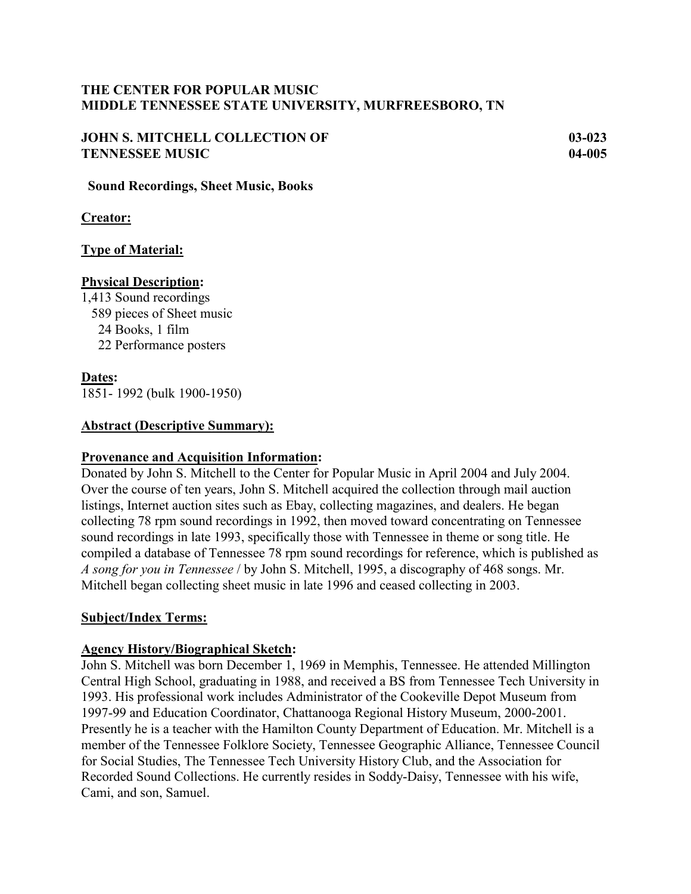# **THE CENTER FOR POPULAR MUSIC MIDDLE TENNESSEE STATE UNIVERSITY, MURFREESBORO, TN**

# **JOHN S. MITCHELL COLLECTION OF 03-023 TENNESSEE MUSIC 04-005**

 **Sound Recordings, Sheet Music, Books**

**Creator:**

# **Type of Material:**

## **Physical Description:**

1,413 Sound recordings 589 pieces of Sheet music 24 Books, 1 film 22 Performance posters

# **Dates:**

1851- 1992 (bulk 1900-1950)

# **Abstract (Descriptive Summary):**

## **Provenance and Acquisition Information:**

Donated by John S. Mitchell to the Center for Popular Music in April 2004 and July 2004. Over the course of ten years, John S. Mitchell acquired the collection through mail auction listings, Internet auction sites such as Ebay, collecting magazines, and dealers. He began collecting 78 rpm sound recordings in 1992, then moved toward concentrating on Tennessee sound recordings in late 1993, specifically those with Tennessee in theme or song title. He compiled a database of Tennessee 78 rpm sound recordings for reference, which is published as *A song for you in Tennessee* / by John S. Mitchell, 1995, a discography of 468 songs. Mr. Mitchell began collecting sheet music in late 1996 and ceased collecting in 2003.

# **Subject/Index Terms:**

# **Agency History/Biographical Sketch:**

John S. Mitchell was born December 1, 1969 in Memphis, Tennessee. He attended Millington Central High School, graduating in 1988, and received a BS from Tennessee Tech University in 1993. His professional work includes Administrator of the Cookeville Depot Museum from 1997-99 and Education Coordinator, Chattanooga Regional History Museum, 2000-2001. Presently he is a teacher with the Hamilton County Department of Education. Mr. Mitchell is a member of the Tennessee Folklore Society, Tennessee Geographic Alliance, Tennessee Council for Social Studies, The Tennessee Tech University History Club, and the Association for Recorded Sound Collections. He currently resides in Soddy-Daisy, Tennessee with his wife, Cami, and son, Samuel.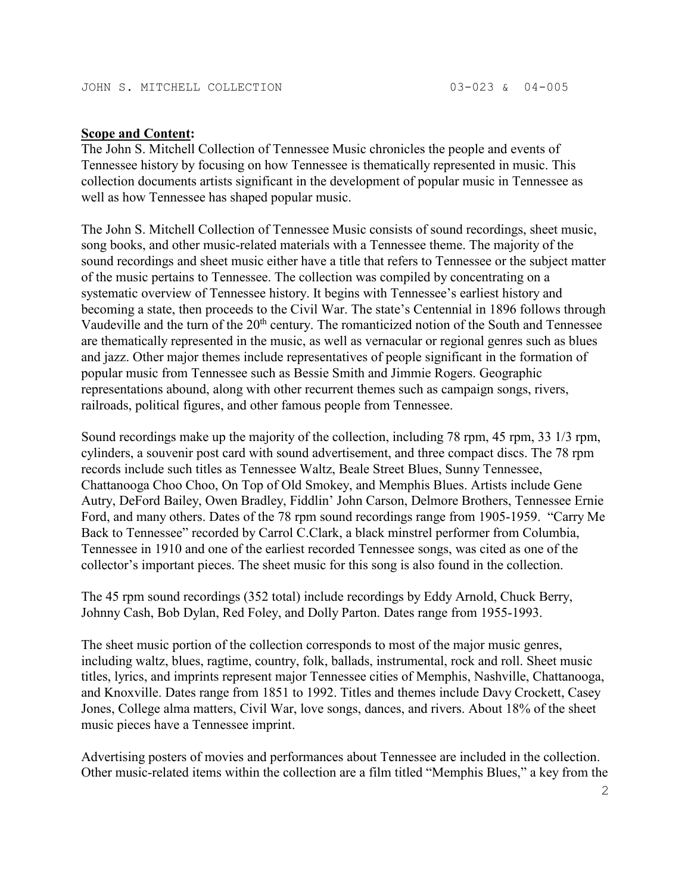#### **Scope and Content:**

The John S. Mitchell Collection of Tennessee Music chronicles the people and events of Tennessee history by focusing on how Tennessee is thematically represented in music. This collection documents artists significant in the development of popular music in Tennessee as well as how Tennessee has shaped popular music.

The John S. Mitchell Collection of Tennessee Music consists of sound recordings, sheet music, song books, and other music-related materials with a Tennessee theme. The majority of the sound recordings and sheet music either have a title that refers to Tennessee or the subject matter of the music pertains to Tennessee. The collection was compiled by concentrating on a systematic overview of Tennessee history. It begins with Tennessee's earliest history and becoming a state, then proceeds to the Civil War. The state's Centennial in 1896 follows through Vaudeville and the turn of the 20<sup>th</sup> century. The romanticized notion of the South and Tennessee are thematically represented in the music, as well as vernacular or regional genres such as blues and jazz. Other major themes include representatives of people significant in the formation of popular music from Tennessee such as Bessie Smith and Jimmie Rogers. Geographic representations abound, along with other recurrent themes such as campaign songs, rivers, railroads, political figures, and other famous people from Tennessee.

Sound recordings make up the majority of the collection, including 78 rpm, 45 rpm, 33 1/3 rpm, cylinders, a souvenir post card with sound advertisement, and three compact discs. The 78 rpm records include such titles as Tennessee Waltz, Beale Street Blues, Sunny Tennessee, Chattanooga Choo Choo, On Top of Old Smokey, and Memphis Blues. Artists include Gene Autry, DeFord Bailey, Owen Bradley, Fiddlin' John Carson, Delmore Brothers, Tennessee Ernie Ford, and many others. Dates of the 78 rpm sound recordings range from 1905-1959. "Carry Me Back to Tennessee" recorded by Carrol C.Clark, a black minstrel performer from Columbia, Tennessee in 1910 and one of the earliest recorded Tennessee songs, was cited as one of the collector's important pieces. The sheet music for this song is also found in the collection.

The 45 rpm sound recordings (352 total) include recordings by Eddy Arnold, Chuck Berry, Johnny Cash, Bob Dylan, Red Foley, and Dolly Parton. Dates range from 1955-1993.

The sheet music portion of the collection corresponds to most of the major music genres, including waltz, blues, ragtime, country, folk, ballads, instrumental, rock and roll. Sheet music titles, lyrics, and imprints represent major Tennessee cities of Memphis, Nashville, Chattanooga, and Knoxville. Dates range from 1851 to 1992. Titles and themes include Davy Crockett, Casey Jones, College alma matters, Civil War, love songs, dances, and rivers. About 18% of the sheet music pieces have a Tennessee imprint.

Advertising posters of movies and performances about Tennessee are included in the collection. Other music-related items within the collection are a film titled "Memphis Blues," a key from the

2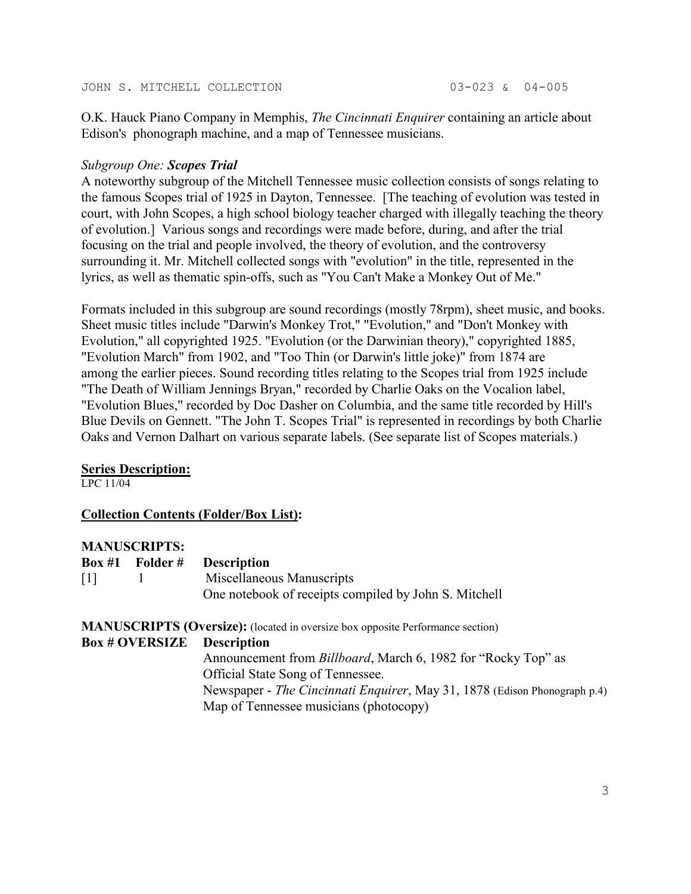O.K. Hauck Piano Company in Memphis, *The Cincinnati Enquirer* containing an article about Edison's phonograph machine, and a map of Tennessee musicians.

### *Subgroup One: Scopes Trial*

A noteworthy subgroup of the Mitchell Tennessee music collection consists of songs relating to the famous Scopes trial of 1925 in Dayton, Tennessee. [The teaching of evolution was tested in court, with John Scopes, a high school biology teacher charged with illegally teaching the theory of evolution.] Various songs and recordings were made before, during, and after the trial focusing on the trial and people involved, the theory of evolution, and the controversy surrounding it. Mr. Mitchell collected songs with "evolution" in the title, represented in the lyrics, as well as thematic spin-offs, such as "You Can't Make a Monkey Out of Me."

Formats included in this subgroup are sound recordings (mostly 78rpm), sheet music, and books. Sheet music titles include "Darwin's Monkey Trot," "Evolution," and "Don't Monkey with Evolution," all copyrighted 1925. "Evolution (or the Darwinian theory)," copyrighted 1885, "Evolution March" from 1902, and "Too Thin (or Darwin's little joke)" from 1874 are among the earlier pieces. Sound recording titles relating to the Scopes trial from 1925 include "The Death of William Jennings Bryan," recorded by Charlie Oaks on the Vocalion label, "Evolution Blues," recorded by Doc Dasher on Columbia, and the same title recorded by Hill's Blue Devils on Gennett. "The John T. Scopes Trial" is represented in recordings by both Charlie Oaks and Vernon Dalhart on various separate labels. (See separate list of Scopes materials.)

### **Series Description:**

LPC 11/04

## **Collection Contents (Folder/Box List):**

### **MANUSCRIPTS:**

|                   | Box #1 Folder #       | <b>Description</b>                                                                    |
|-------------------|-----------------------|---------------------------------------------------------------------------------------|
| $\lceil 1 \rceil$ |                       | Miscellaneous Manuscripts                                                             |
|                   |                       | One notebook of receipts compiled by John S. Mitchell                                 |
|                   |                       | <b>MANUSCRIPTS (Oversize):</b> (located in oversize box opposite Performance section) |
|                   | <b>Box # OVERSIZE</b> | <b>Description</b>                                                                    |
|                   |                       | Announcement from <i>Billboard</i> , March 6, 1982 for "Rocky Top" as                 |
|                   |                       | Official State Song of Tennessee.                                                     |
|                   |                       | Newspaper - The Cincinnati Enquirer, May 31, 1878 (Edison Phonograph p.4)             |
|                   |                       | Map of Tennessee musicians (photocopy)                                                |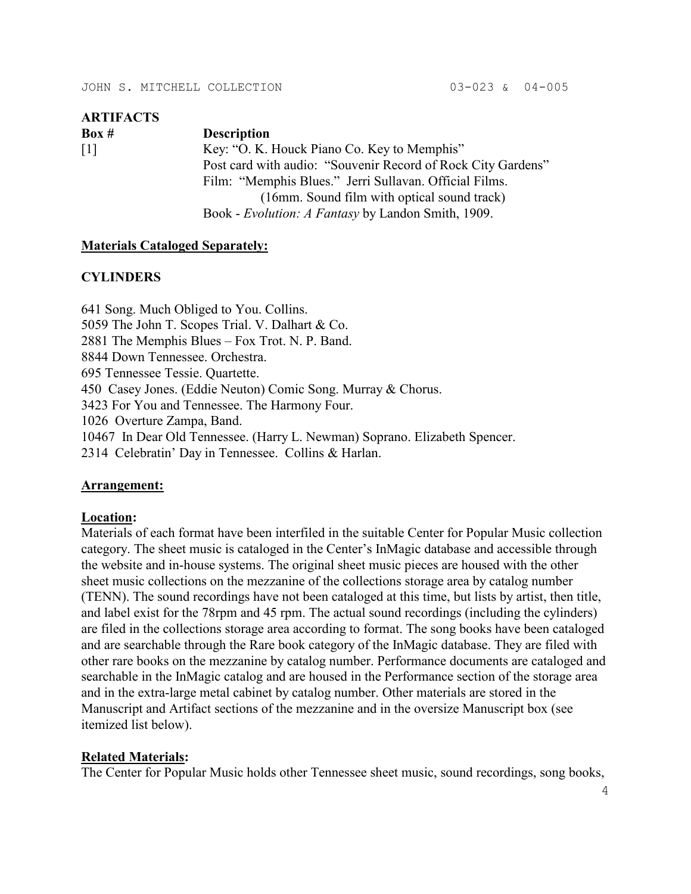| <b>ARTIFACTS</b>  |                                                              |
|-------------------|--------------------------------------------------------------|
| Box #             | <b>Description</b>                                           |
| $\lceil 1 \rceil$ | Key: "O. K. Houck Piano Co. Key to Memphis"                  |
|                   | Post card with audio: "Souvenir Record of Rock City Gardens" |
|                   | Film: "Memphis Blues." Jerri Sullavan. Official Films.       |
|                   | (16mm. Sound film with optical sound track)                  |
|                   | Book - <i>Evolution: A Fantasy</i> by Landon Smith, 1909.    |

### **Materials Cataloged Separately:**

#### **CYLINDERS**

641 Song. Much Obliged to You. Collins. 5059 The John T. Scopes Trial. V. Dalhart & Co. 2881 The Memphis Blues – Fox Trot. N. P. Band. 8844 Down Tennessee. Orchestra. 695 Tennessee Tessie. Quartette. 450 Casey Jones. (Eddie Neuton) Comic Song. Murray & Chorus. 3423 For You and Tennessee. The Harmony Four. 1026 Overture Zampa, Band. 10467 In Dear Old Tennessee. (Harry L. Newman) Soprano. Elizabeth Spencer. 2314 Celebratin' Day in Tennessee. Collins & Harlan.

### **Arrangement:**

### **Location:**

Materials of each format have been interfiled in the suitable Center for Popular Music collection category. The sheet music is cataloged in the Center's InMagic database and accessible through the website and in-house systems. The original sheet music pieces are housed with the other sheet music collections on the mezzanine of the collections storage area by catalog number (TENN). The sound recordings have not been cataloged at this time, but lists by artist, then title, and label exist for the 78rpm and 45 rpm. The actual sound recordings (including the cylinders) are filed in the collections storage area according to format. The song books have been cataloged and are searchable through the Rare book category of the InMagic database. They are filed with other rare books on the mezzanine by catalog number. Performance documents are cataloged and searchable in the InMagic catalog and are housed in the Performance section of the storage area and in the extra-large metal cabinet by catalog number. Other materials are stored in the Manuscript and Artifact sections of the mezzanine and in the oversize Manuscript box (see itemized list below).

### **Related Materials:**

The Center for Popular Music holds other Tennessee sheet music, sound recordings, song books,